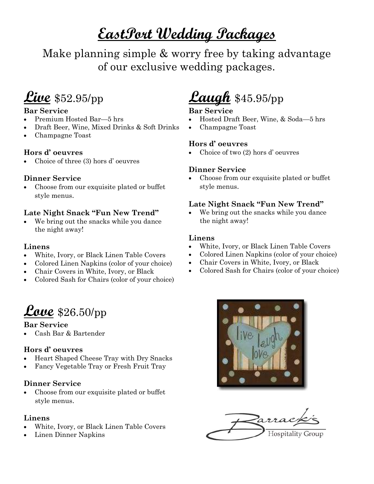# **EastPort Wedding Packages**

Make planning simple & worry free by taking advantage of our exclusive wedding packages.

# **Live** \$52.95/pp

### **Bar Service**

- Premium Hosted Bar—5 hrs
- Draft Beer, Wine, Mixed Drinks & Soft Drinks
- Champagne Toast

### **Hors d' oeuvres**

Choice of three (3) hors d' oeuvres

## **Dinner Service**

 Choose from our exquisite plated or buffet style menus.

# **Late Night Snack "Fun New Trend"**

 We bring out the snacks while you dance the night away!

## **Linens**

- White, Ivory, or Black Linen Table Covers
- Colored Linen Napkins (color of your choice)
- Chair Covers in White, Ivory, or Black
- Colored Sash for Chairs (color of your choice)



## **Bar Service**

Cash Bar & Bartender

# **Hors d' oeuvres**

- Heart Shaped Cheese Tray with Dry Snacks
- Fancy Vegetable Tray or Fresh Fruit Tray

# **Dinner Service**

 Choose from our exquisite plated or buffet style menus.

# **Linens**

- White, Ivory, or Black Linen Table Covers
- Linen Dinner Napkins

# **Laugh** \$45.95/pp

# **Bar Service**

- Hosted Draft Beer, Wine, & Soda—5 hrs
- Champagne Toast

# **Hors d' oeuvres**

Choice of two (2) hors d' oeuvres

# **Dinner Service**

 Choose from our exquisite plated or buffet style menus.

# **Late Night Snack "Fun New Trend"**

 We bring out the snacks while you dance the night away!

#### **Linens**

- White, Ivory, or Black Linen Table Covers
- Colored Linen Napkins (color of your choice)
- Chair Covers in White, Ivory, or Black
- Colored Sash for Chairs (color of your choice)



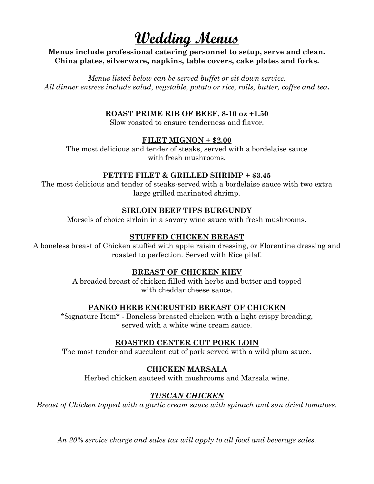# **Wedding Menus**

#### **Menus include professional catering personnel to setup, serve and clean. China plates, silverware, napkins, table covers, cake plates and forks.**

*Menus listed below can be served buffet or sit down service. All dinner entrees include salad, vegetable, potato or rice, rolls, butter, coffee and tea.*

#### **ROAST PRIME RIB OF BEEF, 8-10 oz +1.50**

Slow roasted to ensure tenderness and flavor.

#### **FILET MIGNON + \$2.00**

The most delicious and tender of steaks, served with a bordelaise sauce with fresh mushrooms.

#### **PETITE FILET & GRILLED SHRIMP + \$3.45**

The most delicious and tender of steaks-served with a bordelaise sauce with two extra large grilled marinated shrimp.

#### **SIRLOIN BEEF TIPS BURGUNDY**

Morsels of choice sirloin in a savory wine sauce with fresh mushrooms.

#### **STUFFED CHICKEN BREAST**

A boneless breast of Chicken stuffed with apple raisin dressing, or Florentine dressing and roasted to perfection. Served with Rice pilaf.

#### **BREAST OF CHICKEN KIEV**

A breaded breast of chicken filled with herbs and butter and topped with cheddar cheese sauce.

#### **PANKO HERB ENCRUSTED BREAST OF CHICKEN**

\*Signature Item\* - Boneless breasted chicken with a light crispy breading, served with a white wine cream sauce.

#### **ROASTED CENTER CUT PORK LOIN**

The most tender and succulent cut of pork served with a wild plum sauce.

#### **CHICKEN MARSALA**

Herbed chicken sauteed with mushrooms and Marsala wine.

## *TUSCAN CHICKEN*

*Breast of Chicken topped with a garlic cream sauce with spinach and sun dried tomatoes.*

*An 20% service charge and sales tax will apply to all food and beverage sales.*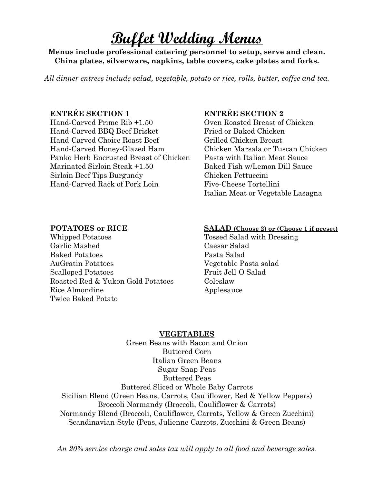# **Buffet Wedding Menus**

**Menus include professional catering personnel to setup, serve and clean. China plates, silverware, napkins, table covers, cake plates and forks.**

*All dinner entrees include salad, vegetable, potato or rice, rolls, butter, coffee and tea.*

#### **ENTRÉE SECTION 1 ENTRÉE SECTION 2**

Hand-Carved Prime Rib +1.50 Oven Roasted Breast of Chicken Hand-Carved BBQ Beef Brisket Fried or Baked Chicken Hand-Carved Choice Roast Beef Grilled Chicken Breast Hand-Carved Honey-Glazed Ham Chicken Marsala or Tuscan Chicken Panko Herb Encrusted Breast of Chicken Pasta with Italian Meat Sauce Marinated Sirloin Steak +1.50 Baked Fish w/Lemon Dill Sauce Sirloin Beef Tips Burgundy Chicken Fettuccini Hand-Carved Rack of Pork Loin Five-Cheese Tortellini

Italian Meat or Vegetable Lasagna

Whipped Potatoes Tossed Salad with Dressing Garlic Mashed Caesar Salad Baked Potatoes Pasta Salad AuGratin Potatoes Vegetable Pasta salad Scalloped Potatoes Fruit Jell-O Salad Roasted Red & Yukon Gold Potatoes Coleslaw Rice Almondine Applesauce Twice Baked Potato

#### **POTATOES or RICE SALAD (Choose 2) or (Choose 1 if preset)**

#### **VEGETABLES**

Green Beans with Bacon and Onion Buttered Corn Italian Green Beans Sugar Snap Peas Buttered Peas Buttered Sliced or Whole Baby Carrots Sicilian Blend (Green Beans, Carrots, Cauliflower, Red & Yellow Peppers) Broccoli Normandy (Broccoli, Cauliflower & Carrots) Normandy Blend (Broccoli, Cauliflower, Carrots, Yellow & Green Zucchini) Scandinavian-Style (Peas, Julienne Carrots, Zucchini & Green Beans)

*An 20% service charge and sales tax will apply to all food and beverage sales.*